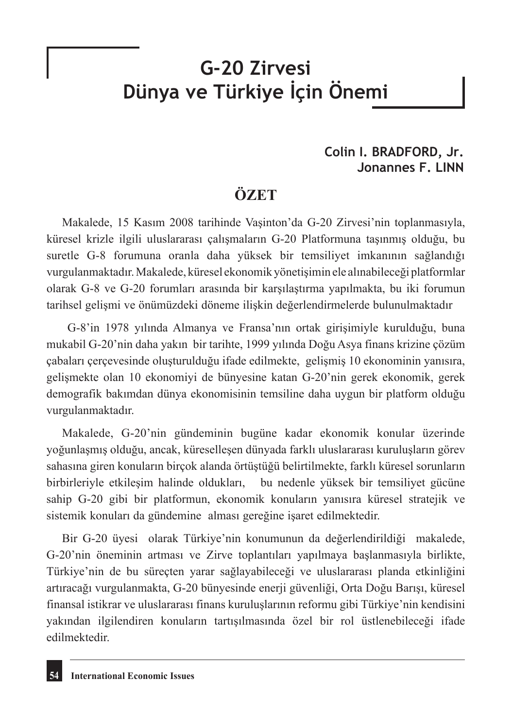# **G-20 Zirvesi Dünya ve Türkiye İçin Önemi**

# **Colin I. BRADFORD, Jr. Jonannes F. LINN**

# **ÖZET**

Makalede, 15 Kasım 2008 tarihinde Vaşinton'da G-20 Zirvesi'nin toplanmasıyla, küresel krizle ilgili uluslararası çalışmaların G-20 Platformuna taşınmış olduğu, bu suretle G-8 forumuna oranla daha yüksek bir temsiliyet imkanının sağlandığı vurgulanmaktadır. Makalede, küresel ekonomik yönetişimin ele alınabileceği platformlar olarak G-8 ve G-20 forumları arasında bir karşılaştırma yapılmakta, bu iki forumun tarihsel gelişmi ve önümüzdeki döneme ilişkin değerlendirmelerde bulunulmaktadır

G-8'in 1978 yılında Almanya ve Fransa'nın ortak girişimiyle kurulduğu, buna mukabil G-20'nin daha yakın bir tarihte, 1999 yılında Doğu Asya finans krizine çözüm çabaları çerçevesinde oluşturulduğu ifade edilmekte, gelişmiş 10 ekonominin yanısıra, gelişmekte olan 10 ekonomiyi de bünyesine katan G-20'nin gerek ekonomik, gerek demografik bakımdan dünya ekonomisinin temsiline daha uygun bir platform olduğu vurgulanmaktadır.

Makalede, G-20'nin gündeminin bugüne kadar ekonomik konular üzerinde yoğunlaşmış olduğu, ancak, küreselleşen dünyada farklı uluslararası kuruluşların görev sahasına giren konuların birçok alanda örtüştüğü belirtilmekte, farklı küresel sorunların birbirleriyle etkileşim halinde oldukları, bu nedenle yüksek bir temsiliyet gücüne sahip G-20 gibi bir platformun, ekonomik konuların yanısıra küresel stratejik ve sistemik konuları da gündemine alması gereğine işaret edilmektedir.

Bir G-20 üyesi olarak Türkiye'nin konumunun da değerlendirildiği makalede, G-20'nin öneminin artması ve Zirve toplantıları yapılmaya başlanmasıyla birlikte, Türkiye'nin de bu süreçten yarar sağlayabileceği ve uluslararası planda etkinliğini artıracağı vurgulanmakta, G-20 bünyesinde enerji güvenliği, Orta Doğu Barışı, küresel finansal istikrar ve uluslararası finans kuruluşlarının reformu gibi Türkiye'nin kendisini yakından ilgilendiren konuların tartışılmasında özel bir rol üstlenebileceği ifade edilmektedir.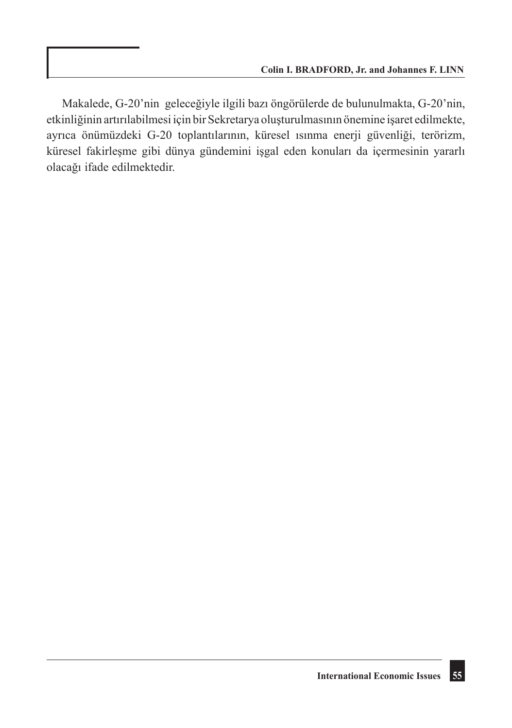Makalede, G-20'nin geleceğiyle ilgili bazı öngörülerde de bulunulmakta, G-20'nin, etkinliğinin artırılabilmesi için bir Sekretarya oluşturulmasının önemine işaret edilmekte, ayrıca önümüzdeki G-20 toplantılarının, küresel ısınma enerji güvenliği, terörizm, küresel fakirleşme gibi dünya gündemini işgal eden konuları da içermesinin yararlı olacağı ifade edilmektedir.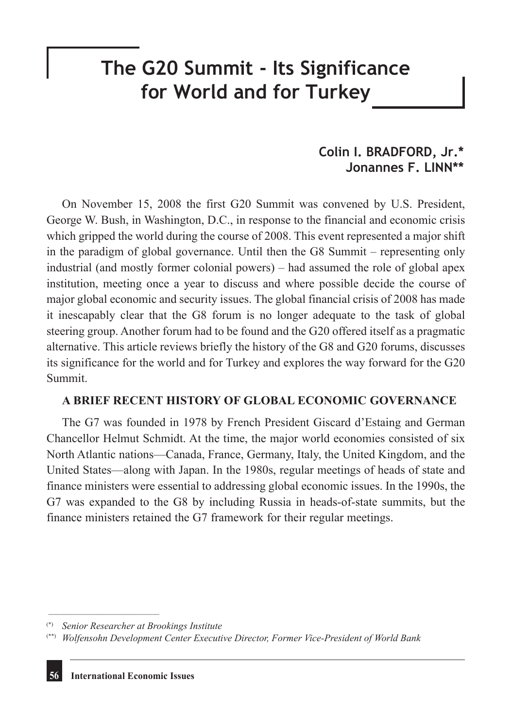# **The G20 Summit - Its Significance for World and for Turkey**

# **Colin I. BRADFORD, Jr.\* Jonannes F. LINN\*\***

On November 15, 2008 the first G20 Summit was convened by U.S. President, George W. Bush, in Washington, D.C., in response to the financial and economic crisis which gripped the world during the course of 2008. This event represented a major shift in the paradigm of global governance. Until then the G8 Summit – representing only industrial (and mostly former colonial powers) – had assumed the role of global apex institution, meeting once a year to discuss and where possible decide the course of major global economic and security issues. The global financial crisis of 2008 has made it inescapably clear that the G8 forum is no longer adequate to the task of global steering group. Another forum had to be found and the G20 offered itself as a pragmatic alternative. This article reviews briefly the history of the G8 and G20 forums, discusses its significance for the world and for Turkey and explores the way forward for the G20 Summit.

#### **A BRIEF RECENT HISTORY OF GLOBAL ECONOMIC GOVERNANCE**

The G7 was founded in 1978 by French President Giscard d'Estaing and German Chancellor Helmut Schmidt. At the time, the major world economies consisted of six North Atlantic nations—Canada, France, Germany, Italy, the United Kingdom, and the United States—along with Japan. In the 1980s, regular meetings of heads of state and finance ministers were essential to addressing global economic issues. In the 1990s, the G7 was expanded to the G8 by including Russia in heads-of-state summits, but the finance ministers retained the G7 framework for their regular meetings.

\_\_\_\_\_\_\_\_\_\_\_\_\_\_\_\_\_\_\_\_\_\_\_\_\_\_\_\_\_

<sup>(\*)</sup> *Senior Researcher at Brookings Institute*

<sup>(\*\*)</sup> *Wolfensohn Development Center Executive Director, Former Vice-President of World Bank*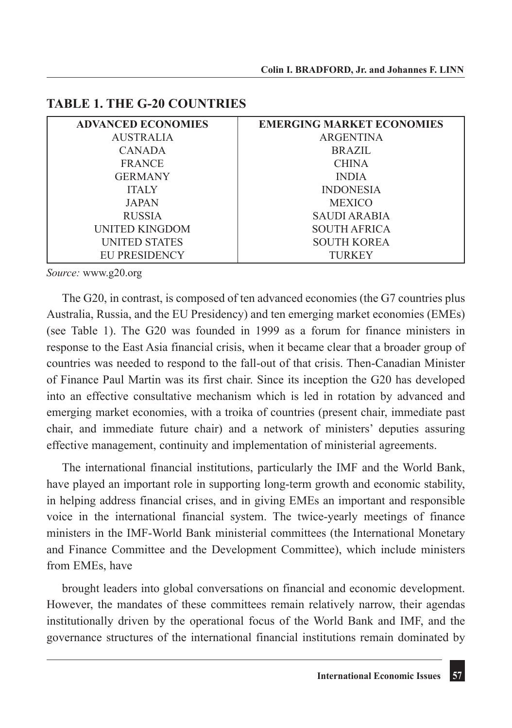| <b>ADVANCED ECONOMIES</b> | <b>EMERGING MARKET ECONOMIES</b> |
|---------------------------|----------------------------------|
| <b>AUSTRALIA</b>          | <b>ARGENTINA</b>                 |
| <b>CANADA</b>             | <b>BRAZIL</b>                    |
| <b>FRANCE</b>             | <b>CHINA</b>                     |
| <b>GERMANY</b>            | <b>INDIA</b>                     |
| <b>ITALY</b>              | <b>INDONESIA</b>                 |
| <b>JAPAN</b>              | <b>MEXICO</b>                    |
| <b>RUSSIA</b>             | SAUDI ARABIA                     |
| UNITED KINGDOM            | <b>SOUTH AFRICA</b>              |
| <b>UNITED STATES</b>      | <b>SOUTH KOREA</b>               |
| EU PRESIDENCY             | TURKEY                           |

### **TABLE 1. THE G-20 COUNTRIES**

*Source:* www.g20.org

The G20, in contrast, is composed of ten advanced economies (the G7 countries plus Australia, Russia, and the EU Presidency) and ten emerging market economies (EMEs) (see Table 1). The G20 was founded in 1999 as a forum for finance ministers in response to the East Asia financial crisis, when it became clear that a broader group of countries was needed to respond to the fall-out of that crisis. Then-Canadian Minister of Finance Paul Martin was its first chair. Since its inception the G20 has developed into an effective consultative mechanism which is led in rotation by advanced and emerging market economies, with a troika of countries (present chair, immediate past chair, and immediate future chair) and a network of ministers' deputies assuring effective management, continuity and implementation of ministerial agreements.

The international financial institutions, particularly the IMF and the World Bank, have played an important role in supporting long-term growth and economic stability, in helping address financial crises, and in giving EMEs an important and responsible voice in the international financial system. The twice-yearly meetings of finance ministers in the IMF-World Bank ministerial committees (the International Monetary and Finance Committee and the Development Committee), which include ministers from EMEs, have

brought leaders into global conversations on financial and economic development. However, the mandates of these committees remain relatively narrow, their agendas institutionally driven by the operational focus of the World Bank and IMF, and the governance structures of the international financial institutions remain dominated by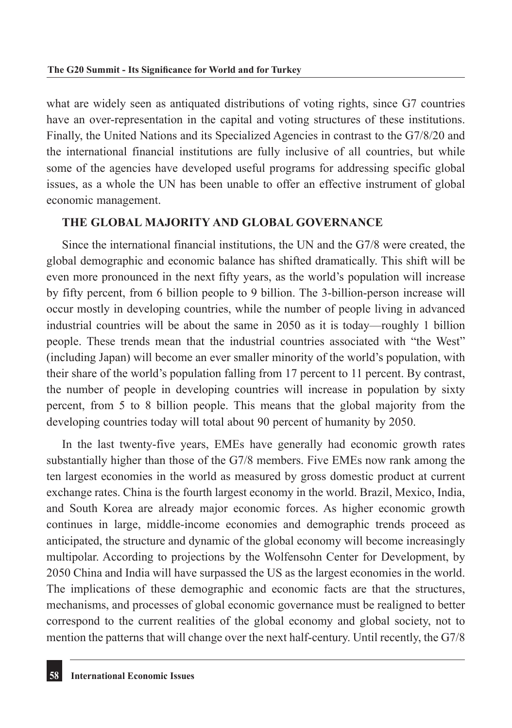what are widely seen as antiquated distributions of voting rights, since G7 countries have an over-representation in the capital and voting structures of these institutions. Finally, the United Nations and its Specialized Agencies in contrast to the G7/8/20 and the international financial institutions are fully inclusive of all countries, but while some of the agencies have developed useful programs for addressing specific global issues, as a whole the UN has been unable to offer an effective instrument of global economic management.

#### **THE GLOBAL MAJORITY AND GLOBAL GOVERNANCE**

Since the international financial institutions, the UN and the G7/8 were created, the global demographic and economic balance has shifted dramatically. This shift will be even more pronounced in the next fifty years, as the world's population will increase by fifty percent, from 6 billion people to 9 billion. The 3-billion-person increase will occur mostly in developing countries, while the number of people living in advanced industrial countries will be about the same in 2050 as it is today—roughly 1 billion people. These trends mean that the industrial countries associated with "the West" (including Japan) will become an ever smaller minority of the world's population, with their share of the world's population falling from 17 percent to 11 percent. By contrast, the number of people in developing countries will increase in population by sixty percent, from 5 to 8 billion people. This means that the global majority from the developing countries today will total about 90 percent of humanity by 2050.

In the last twenty-five years, EMEs have generally had economic growth rates substantially higher than those of the G7/8 members. Five EMEs now rank among the ten largest economies in the world as measured by gross domestic product at current exchange rates. China is the fourth largest economy in the world. Brazil, Mexico, India, and South Korea are already major economic forces. As higher economic growth continues in large, middle-income economies and demographic trends proceed as anticipated, the structure and dynamic of the global economy will become increasingly multipolar. According to projections by the Wolfensohn Center for Development, by 2050 China and India will have surpassed the US as the largest economies in the world. The implications of these demographic and economic facts are that the structures, mechanisms, and processes of global economic governance must be realigned to better correspond to the current realities of the global economy and global society, not to mention the patterns that will change over the next half-century. Until recently, the G7/8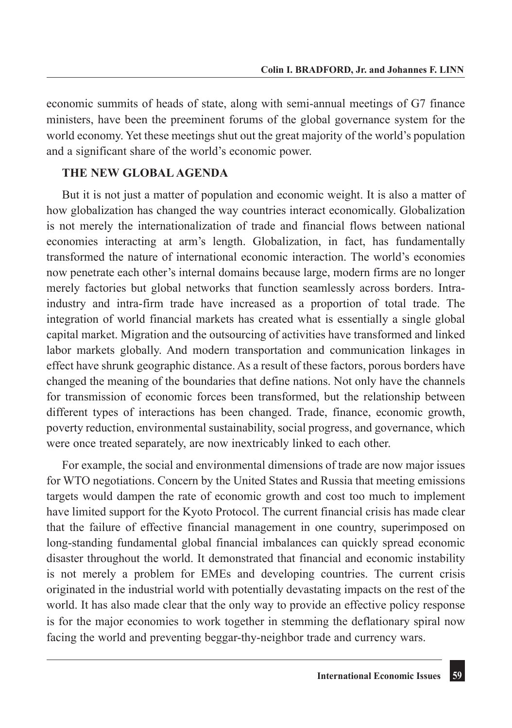economic summits of heads of state, along with semi-annual meetings of G7 finance ministers, have been the preeminent forums of the global governance system for the world economy. Yet these meetings shut out the great majority of the world's population and a significant share of the world's economic power.

#### **THE NEW GLOBAL AGENDA**

But it is not just a matter of population and economic weight. It is also a matter of how globalization has changed the way countries interact economically. Globalization is not merely the internationalization of trade and financial flows between national economies interacting at arm's length. Globalization, in fact, has fundamentally transformed the nature of international economic interaction. The world's economies now penetrate each other's internal domains because large, modern firms are no longer merely factories but global networks that function seamlessly across borders. Intraindustry and intra-firm trade have increased as a proportion of total trade. The integration of world financial markets has created what is essentially a single global capital market. Migration and the outsourcing of activities have transformed and linked labor markets globally. And modern transportation and communication linkages in effect have shrunk geographic distance. As a result of these factors, porous borders have changed the meaning of the boundaries that define nations. Not only have the channels for transmission of economic forces been transformed, but the relationship between different types of interactions has been changed. Trade, finance, economic growth, poverty reduction, environmental sustainability, social progress, and governance, which were once treated separately, are now inextricably linked to each other.

For example, the social and environmental dimensions of trade are now major issues for WTO negotiations. Concern by the United States and Russia that meeting emissions targets would dampen the rate of economic growth and cost too much to implement have limited support for the Kyoto Protocol. The current financial crisis has made clear that the failure of effective financial management in one country, superimposed on long-standing fundamental global financial imbalances can quickly spread economic disaster throughout the world. It demonstrated that financial and economic instability is not merely a problem for EMEs and developing countries. The current crisis originated in the industrial world with potentially devastating impacts on the rest of the world. It has also made clear that the only way to provide an effective policy response is for the major economies to work together in stemming the deflationary spiral now facing the world and preventing beggar-thy-neighbor trade and currency wars.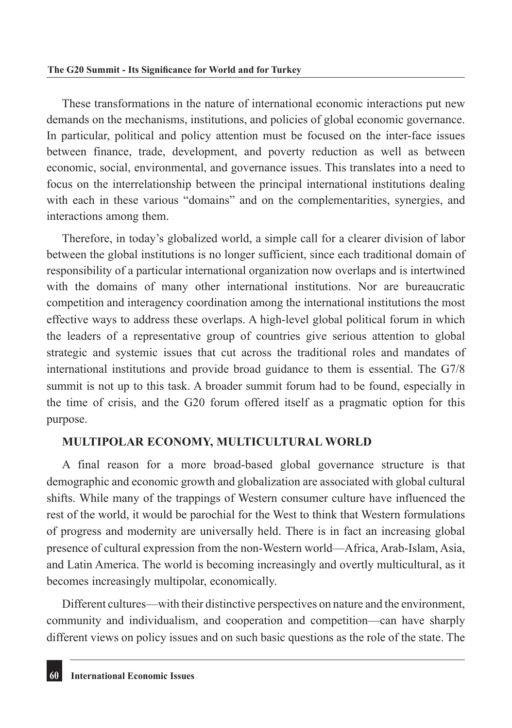These transformations in the nature of international economic interactions put new demands on the mechanisms, institutions, and policies of global economic governance. In particular, political and policy attention must be focused on the inter-face issues between finance, trade, development, and poverty reduction as well as between economic, social, environmental, and governance issues. This translates into a need to focus on the interrelationship between the principal international institutions dealing with each in these various "domains" and on the complementarities, synergies, and interactions among them.

Therefore, in today's globalized world, a simple call for a clearer division of labor between the global institutions is no longer sufficient, since each traditional domain of responsibility of a particular international organization now overlaps and is intertwined with the domains of many other international institutions. Nor are bureaucratic competition and interagency coordination among the international institutions the most effective ways to address these overlaps. A high-level global political forum in which the leaders of a representative group of countries give serious attention to global strategic and systemic issues that cut across the traditional roles and mandates of international institutions and provide broad guidance to them is essential. The G7/8 summit is not up to this task. A broader summit forum had to be found, especially in the time of crisis, and the G20 forum offered itself as a pragmatic option for this purpose.

#### **MULTIPOLAR ECONOMY, MULTICULTURAL WORLD**

A final reason for a more broad-based global governance structure is that demographic and economic growth and globalization are associated with global cultural shifts. While many of the trappings of Western consumer culture have influenced the rest of the world, it would be parochial for the West to think that Western formulations of progress and modernity are universally held. There is in fact an increasing global presence of cultural expression from the non-Western world—Africa, Arab-Islam, Asia, and Latin America. The world is becoming increasingly and overtly multicultural, as it becomes increasingly multipolar, economically.

Different cultures—with their distinctive perspectives on nature and the environment, community and individualism, and cooperation and competition—can have sharply different views on policy issues and on such basic questions as the role of the state. The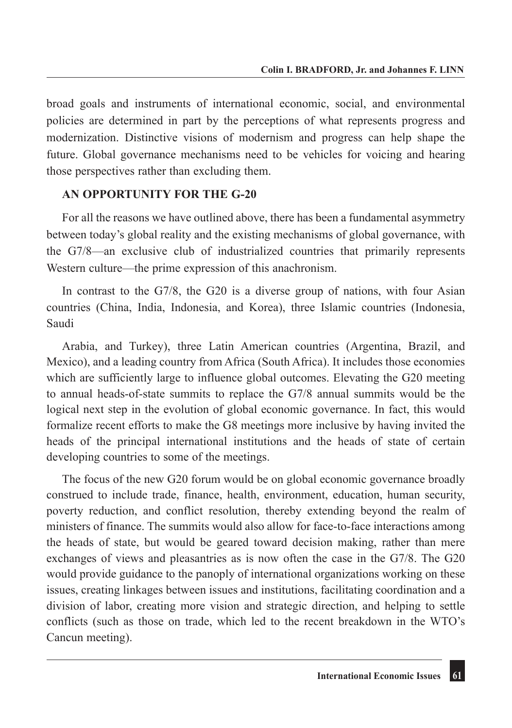broad goals and instruments of international economic, social, and environmental policies are determined in part by the perceptions of what represents progress and modernization. Distinctive visions of modernism and progress can help shape the future. Global governance mechanisms need to be vehicles for voicing and hearing those perspectives rather than excluding them.

#### **AN OPPORTUNITY FOR THE G-20**

For all the reasons we have outlined above, there has been a fundamental asymmetry between today's global reality and the existing mechanisms of global governance, with the G7/8—an exclusive club of industrialized countries that primarily represents Western culture—the prime expression of this anachronism.

In contrast to the G7/8, the G20 is a diverse group of nations, with four Asian countries (China, India, Indonesia, and Korea), three Islamic countries (Indonesia, Saudi

Arabia, and Turkey), three Latin American countries (Argentina, Brazil, and Mexico), and a leading country from Africa (South Africa). It includes those economies which are sufficiently large to influence global outcomes. Elevating the G20 meeting to annual heads-of-state summits to replace the G7/8 annual summits would be the logical next step in the evolution of global economic governance. In fact, this would formalize recent efforts to make the G8 meetings more inclusive by having invited the heads of the principal international institutions and the heads of state of certain developing countries to some of the meetings.

The focus of the new G20 forum would be on global economic governance broadly construed to include trade, finance, health, environment, education, human security, poverty reduction, and conflict resolution, thereby extending beyond the realm of ministers of finance. The summits would also allow for face-to-face interactions among the heads of state, but would be geared toward decision making, rather than mere exchanges of views and pleasantries as is now often the case in the G7/8. The G20 would provide guidance to the panoply of international organizations working on these issues, creating linkages between issues and institutions, facilitating coordination and a division of labor, creating more vision and strategic direction, and helping to settle conflicts (such as those on trade, which led to the recent breakdown in the WTO's Cancun meeting).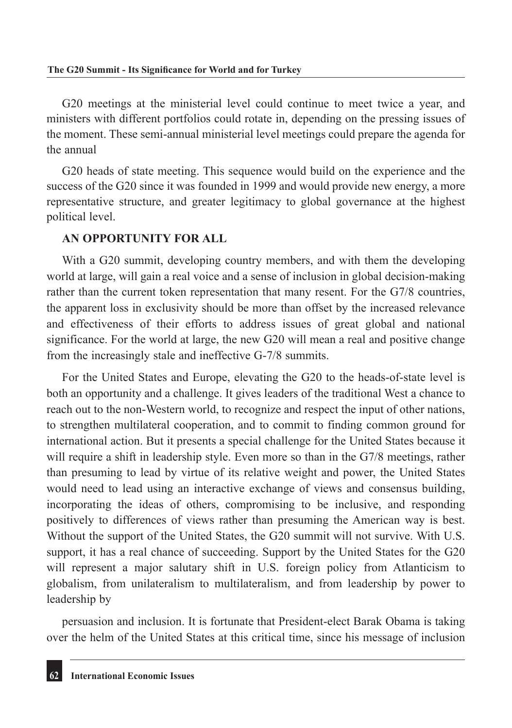G20 meetings at the ministerial level could continue to meet twice a year, and ministers with different portfolios could rotate in, depending on the pressing issues of the moment. These semi-annual ministerial level meetings could prepare the agenda for the annual

G20 heads of state meeting. This sequence would build on the experience and the success of the G20 since it was founded in 1999 and would provide new energy, a more representative structure, and greater legitimacy to global governance at the highest political level.

### **AN OPPORTUNITY FOR ALL**

With a G20 summit, developing country members, and with them the developing world at large, will gain a real voice and a sense of inclusion in global decision-making rather than the current token representation that many resent. For the G7/8 countries, the apparent loss in exclusivity should be more than offset by the increased relevance and effectiveness of their efforts to address issues of great global and national significance. For the world at large, the new G20 will mean a real and positive change from the increasingly stale and ineffective G-7/8 summits.

For the United States and Europe, elevating the G20 to the heads-of-state level is both an opportunity and a challenge. It gives leaders of the traditional West a chance to reach out to the non-Western world, to recognize and respect the input of other nations, to strengthen multilateral cooperation, and to commit to finding common ground for international action. But it presents a special challenge for the United States because it will require a shift in leadership style. Even more so than in the G7/8 meetings, rather than presuming to lead by virtue of its relative weight and power, the United States would need to lead using an interactive exchange of views and consensus building, incorporating the ideas of others, compromising to be inclusive, and responding positively to differences of views rather than presuming the American way is best. Without the support of the United States, the G20 summit will not survive. With U.S. support, it has a real chance of succeeding. Support by the United States for the G20 will represent a major salutary shift in U.S. foreign policy from Atlanticism to globalism, from unilateralism to multilateralism, and from leadership by power to leadership by

persuasion and inclusion. It is fortunate that President-elect Barak Obama is taking over the helm of the United States at this critical time, since his message of inclusion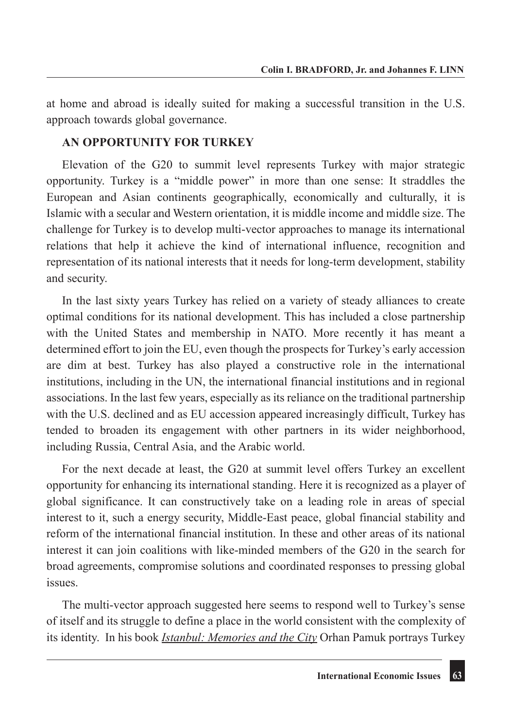at home and abroad is ideally suited for making a successful transition in the U.S. approach towards global governance.

#### **AN OPPORTUNITY FOR TURKEY**

Elevation of the G20 to summit level represents Turkey with major strategic opportunity. Turkey is a "middle power" in more than one sense: It straddles the European and Asian continents geographically, economically and culturally, it is Islamic with a secular and Western orientation, it is middle income and middle size. The challenge for Turkey is to develop multi-vector approaches to manage its international relations that help it achieve the kind of international influence, recognition and representation of its national interests that it needs for long-term development, stability and security.

In the last sixty years Turkey has relied on a variety of steady alliances to create optimal conditions for its national development. This has included a close partnership with the United States and membership in NATO. More recently it has meant a determined effort to join the EU, even though the prospects for Turkey's early accession are dim at best. Turkey has also played a constructive role in the international institutions, including in the UN, the international financial institutions and in regional associations. In the last few years, especially as its reliance on the traditional partnership with the U.S. declined and as EU accession appeared increasingly difficult, Turkey has tended to broaden its engagement with other partners in its wider neighborhood, including Russia, Central Asia, and the Arabic world.

For the next decade at least, the G20 at summit level offers Turkey an excellent opportunity for enhancing its international standing. Here it is recognized as a player of global significance. It can constructively take on a leading role in areas of special interest to it, such a energy security, Middle-East peace, global financial stability and reform of the international financial institution. In these and other areas of its national interest it can join coalitions with like-minded members of the G20 in the search for broad agreements, compromise solutions and coordinated responses to pressing global issues.

The multi-vector approach suggested here seems to respond well to Turkey's sense of itself and its struggle to define a place in the world consistent with the complexity of its identity. In his book *Istanbul: Memories and the City* Orhan Pamuk portrays Turkey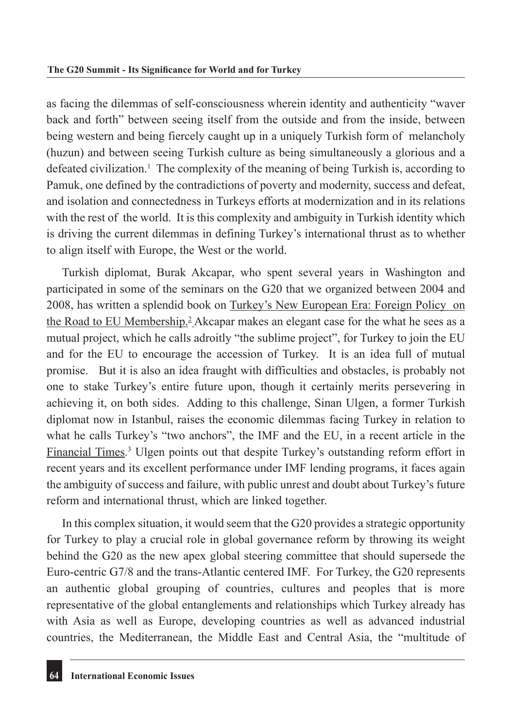as facing the dilemmas of self-consciousness wherein identity and authenticity "waver back and forth" between seeing itself from the outside and from the inside, between being western and being fiercely caught up in a uniquely Turkish form of melancholy (huzun) and between seeing Turkish culture as being simultaneously a glorious and a defeated civilization.<sup>1</sup> The complexity of the meaning of being Turkish is, according to Pamuk, one defined by the contradictions of poverty and modernity, success and defeat, and isolation and connectedness in Turkeys efforts at modernization and in its relations with the rest of the world. It is this complexity and ambiguity in Turkish identity which is driving the current dilemmas in defining Turkey's international thrust as to whether to align itself with Europe, the West or the world.

Turkish diplomat, Burak Akcapar, who spent several years in Washington and participated in some of the seminars on the G20 that we organized between 2004 and 2008, has written a splendid book on Turkey's New European Era: Foreign Policy on the Road to EU Membership.<sup>2</sup> Akcapar makes an elegant case for the what he sees as a mutual project, which he calls adroitly "the sublime project", for Turkey to join the EU and for the EU to encourage the accession of Turkey. It is an idea full of mutual promise. But it is also an idea fraught with difficulties and obstacles, is probably not one to stake Turkey's entire future upon, though it certainly merits persevering in achieving it, on both sides. Adding to this challenge, Sinan Ulgen, a former Turkish diplomat now in Istanbul, raises the economic dilemmas facing Turkey in relation to what he calls Turkey's "two anchors", the IMF and the EU, in a recent article in the Financial Times.<sup>3</sup> Ulgen points out that despite Turkey's outstanding reform effort in recent years and its excellent performance under IMF lending programs, it faces again the ambiguity of success and failure, with public unrest and doubt about Turkey's future reform and international thrust, which are linked together.

In this complex situation, it would seem that the G20 provides a strategic opportunity for Turkey to play a crucial role in global governance reform by throwing its weight behind the G20 as the new apex global steering committee that should supersede the Euro-centric G7/8 and the trans-Atlantic centered IMF. For Turkey, the G20 represents an authentic global grouping of countries, cultures and peoples that is more representative of the global entanglements and relationships which Turkey already has with Asia as well as Europe, developing countries as well as advanced industrial countries, the Mediterranean, the Middle East and Central Asia, the "multitude of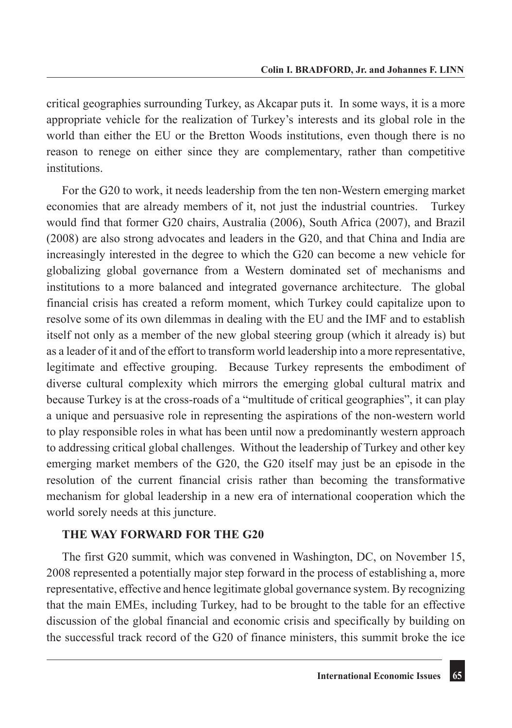critical geographies surrounding Turkey, as Akcapar puts it. In some ways, it is a more appropriate vehicle for the realization of Turkey's interests and its global role in the world than either the EU or the Bretton Woods institutions, even though there is no reason to renege on either since they are complementary, rather than competitive institutions.

For the G20 to work, it needs leadership from the ten non-Western emerging market economies that are already members of it, not just the industrial countries. Turkey would find that former G20 chairs, Australia (2006), South Africa (2007), and Brazil (2008) are also strong advocates and leaders in the G20, and that China and India are increasingly interested in the degree to which the G20 can become a new vehicle for globalizing global governance from a Western dominated set of mechanisms and institutions to a more balanced and integrated governance architecture. The global financial crisis has created a reform moment, which Turkey could capitalize upon to resolve some of its own dilemmas in dealing with the EU and the IMF and to establish itself not only as a member of the new global steering group (which it already is) but as a leader of it and of the effort to transform world leadership into a more representative, legitimate and effective grouping. Because Turkey represents the embodiment of diverse cultural complexity which mirrors the emerging global cultural matrix and because Turkey is at the cross-roads of a "multitude of critical geographies", it can play a unique and persuasive role in representing the aspirations of the non-western world to play responsible roles in what has been until now a predominantly western approach to addressing critical global challenges. Without the leadership of Turkey and other key emerging market members of the G20, the G20 itself may just be an episode in the resolution of the current financial crisis rather than becoming the transformative mechanism for global leadership in a new era of international cooperation which the world sorely needs at this juncture.

#### **THE WAY FORWARD FOR THE G20**

The first G20 summit, which was convened in Washington, DC, on November 15, 2008 represented a potentially major step forward in the process of establishing a, more representative, effective and hence legitimate global governance system. By recognizing that the main EMEs, including Turkey, had to be brought to the table for an effective discussion of the global financial and economic crisis and specifically by building on the successful track record of the G20 of finance ministers, this summit broke the ice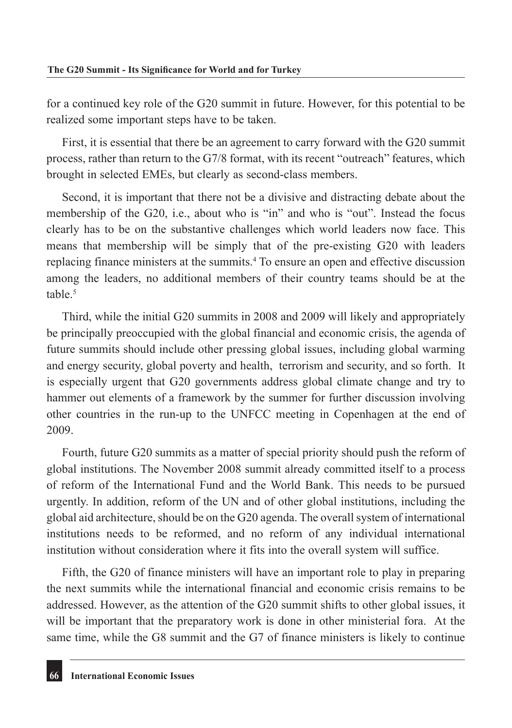for a continued key role of the G20 summit in future. However, for this potential to be realized some important steps have to be taken.

First, it is essential that there be an agreement to carry forward with the G20 summit process, rather than return to the G7/8 format, with its recent "outreach" features, which brought in selected EMEs, but clearly as second-class members.

Second, it is important that there not be a divisive and distracting debate about the membership of the G20, i.e., about who is "in" and who is "out". Instead the focus clearly has to be on the substantive challenges which world leaders now face. This means that membership will be simply that of the pre-existing G20 with leaders replacing finance ministers at the summits.4 To ensure an open and effective discussion among the leaders, no additional members of their country teams should be at the table $<sup>5</sup>$ </sup>

Third, while the initial G20 summits in 2008 and 2009 will likely and appropriately be principally preoccupied with the global financial and economic crisis, the agenda of future summits should include other pressing global issues, including global warming and energy security, global poverty and health, terrorism and security, and so forth. It is especially urgent that G20 governments address global climate change and try to hammer out elements of a framework by the summer for further discussion involving other countries in the run-up to the UNFCC meeting in Copenhagen at the end of 2009.

Fourth, future G20 summits as a matter of special priority should push the reform of global institutions. The November 2008 summit already committed itself to a process of reform of the International Fund and the World Bank. This needs to be pursued urgently. In addition, reform of the UN and of other global institutions, including the global aid architecture, should be on the G20 agenda. The overall system of international institutions needs to be reformed, and no reform of any individual international institution without consideration where it fits into the overall system will suffice.

Fifth, the G20 of finance ministers will have an important role to play in preparing the next summits while the international financial and economic crisis remains to be addressed. However, as the attention of the G20 summit shifts to other global issues, it will be important that the preparatory work is done in other ministerial fora. At the same time, while the G8 summit and the G7 of finance ministers is likely to continue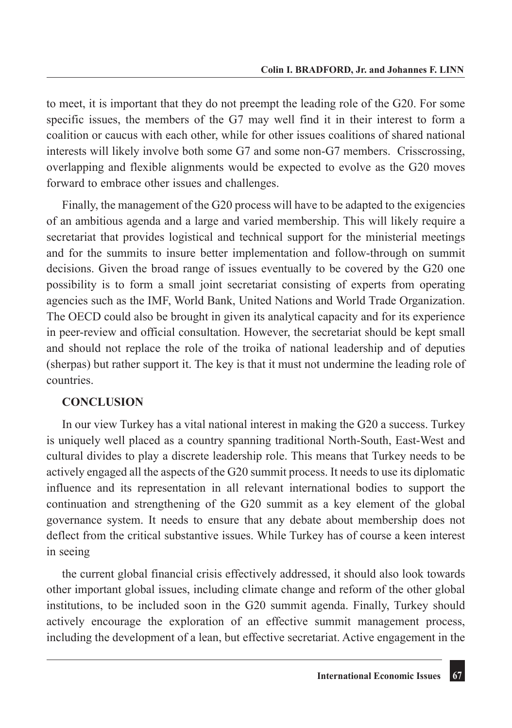to meet, it is important that they do not preempt the leading role of the G20. For some specific issues, the members of the G7 may well find it in their interest to form a coalition or caucus with each other, while for other issues coalitions of shared national interests will likely involve both some G7 and some non-G7 members. Crisscrossing, overlapping and flexible alignments would be expected to evolve as the G20 moves forward to embrace other issues and challenges.

Finally, the management of the G20 process will have to be adapted to the exigencies of an ambitious agenda and a large and varied membership. This will likely require a secretariat that provides logistical and technical support for the ministerial meetings and for the summits to insure better implementation and follow-through on summit decisions. Given the broad range of issues eventually to be covered by the G20 one possibility is to form a small joint secretariat consisting of experts from operating agencies such as the IMF, World Bank, United Nations and World Trade Organization. The OECD could also be brought in given its analytical capacity and for its experience in peer-review and official consultation. However, the secretariat should be kept small and should not replace the role of the troika of national leadership and of deputies (sherpas) but rather support it. The key is that it must not undermine the leading role of countries.

#### **CONCLUSION**

In our view Turkey has a vital national interest in making the G20 a success. Turkey is uniquely well placed as a country spanning traditional North-South, East-West and cultural divides to play a discrete leadership role. This means that Turkey needs to be actively engaged all the aspects of the G20 summit process. It needs to use its diplomatic influence and its representation in all relevant international bodies to support the continuation and strengthening of the G20 summit as a key element of the global governance system. It needs to ensure that any debate about membership does not deflect from the critical substantive issues. While Turkey has of course a keen interest in seeing

the current global financial crisis effectively addressed, it should also look towards other important global issues, including climate change and reform of the other global institutions, to be included soon in the G20 summit agenda. Finally, Turkey should actively encourage the exploration of an effective summit management process, including the development of a lean, but effective secretariat. Active engagement in the